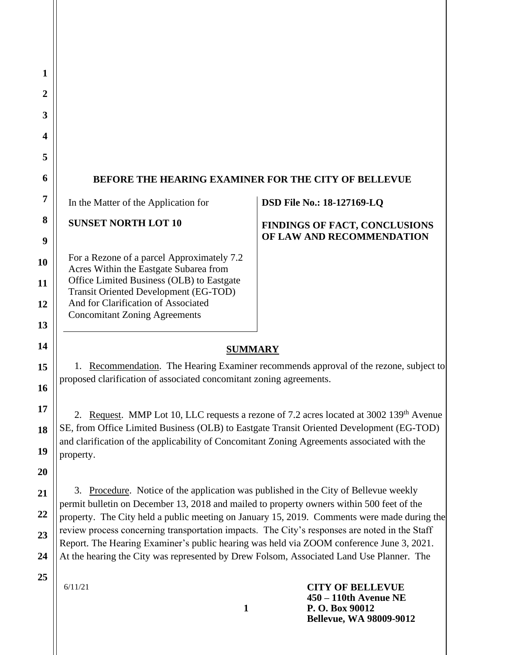| 1                |                                                                                                                                                                                                                                                                                                             |                                      |
|------------------|-------------------------------------------------------------------------------------------------------------------------------------------------------------------------------------------------------------------------------------------------------------------------------------------------------------|--------------------------------------|
| $\boldsymbol{2}$ |                                                                                                                                                                                                                                                                                                             |                                      |
| 3                |                                                                                                                                                                                                                                                                                                             |                                      |
| 4                |                                                                                                                                                                                                                                                                                                             |                                      |
| 5                |                                                                                                                                                                                                                                                                                                             |                                      |
| 6                | <b>BEFORE THE HEARING EXAMINER FOR THE CITY OF BELLEVUE</b>                                                                                                                                                                                                                                                 |                                      |
| 7                | In the Matter of the Application for                                                                                                                                                                                                                                                                        | <b>DSD File No.: 18-127169-LQ</b>    |
| 8                | <b>SUNSET NORTH LOT 10</b>                                                                                                                                                                                                                                                                                  | <b>FINDINGS OF FACT, CONCLUSIONS</b> |
| 9                |                                                                                                                                                                                                                                                                                                             | OF LAW AND RECOMMENDATION            |
| 10               | For a Rezone of a parcel Approximately 7.2<br>Acres Within the Eastgate Subarea from                                                                                                                                                                                                                        |                                      |
| 11               | Office Limited Business (OLB) to Eastgate<br><b>Transit Oriented Development (EG-TOD)</b>                                                                                                                                                                                                                   |                                      |
| 12               | And for Clarification of Associated                                                                                                                                                                                                                                                                         |                                      |
| 13               | <b>Concomitant Zoning Agreements</b>                                                                                                                                                                                                                                                                        |                                      |
| 14               | <b>SUMMARY</b>                                                                                                                                                                                                                                                                                              |                                      |
| 15               | Recommendation. The Hearing Examiner recommends approval of the rezone, subject to<br>proposed clarification of associated concomitant zoning agreements.                                                                                                                                                   |                                      |
| 16               |                                                                                                                                                                                                                                                                                                             |                                      |
| 17               | 2. Request. MMP Lot 10, LLC requests a rezone of 7.2 acres located at 3002 139 <sup>th</sup> Avenue<br>SE, from Office Limited Business (OLB) to Eastgate Transit Oriented Development (EG-TOD)<br>and clarification of the applicability of Concomitant Zoning Agreements associated with the<br>property. |                                      |
| 18               |                                                                                                                                                                                                                                                                                                             |                                      |
| 19               |                                                                                                                                                                                                                                                                                                             |                                      |
| 20               |                                                                                                                                                                                                                                                                                                             |                                      |
| 21               | 3. Procedure. Notice of the application was published in the City of Bellevue weekly<br>permit bulletin on December 13, 2018 and mailed to property owners within 500 feet of the                                                                                                                           |                                      |
| 22               | property. The City held a public meeting on January 15, 2019. Comments were made during the                                                                                                                                                                                                                 |                                      |
| 23               | review process concerning transportation impacts. The City's responses are noted in the Staff<br>Report. The Hearing Examiner's public hearing was held via ZOOM conference June 3, 2021.                                                                                                                   |                                      |
| 24               | At the hearing the City was represented by Drew Folsom, Associated Land Use Planner. The                                                                                                                                                                                                                    |                                      |
| 25               | 6/11/21                                                                                                                                                                                                                                                                                                     | <b>CITY OF BELLEVUE</b>              |

**1**

**450 – 110th Avenue NE P. O. Box 90012 Bellevue, WA 98009-9012**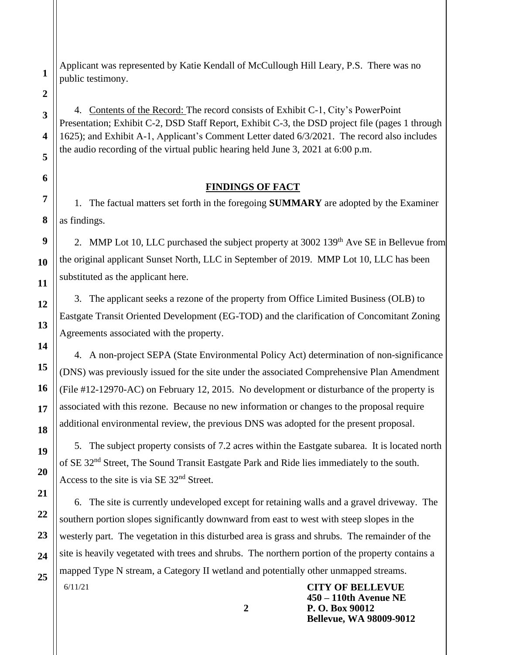Applicant was represented by Katie Kendall of McCullough Hill Leary, P.S. There was no public testimony.

**2**

**1**

**3**

**4**

**5**

**6**

4. Contents of the Record: The record consists of Exhibit C-1, City's PowerPoint Presentation; Exhibit C-2, DSD Staff Report, Exhibit C-3, the DSD project file (pages 1 through 1625); and Exhibit A-1, Applicant's Comment Letter dated 6/3/2021. The record also includes the audio recording of the virtual public hearing held June 3, 2021 at 6:00 p.m.

# **FINDINGS OF FACT**

1. The factual matters set forth in the foregoing **SUMMARY** are adopted by the Examiner as findings.

2. MMP Lot 10, LLC purchased the subject property at  $3002$  139<sup>th</sup> Ave SE in Bellevue from the original applicant Sunset North, LLC in September of 2019. MMP Lot 10, LLC has been substituted as the applicant here.

3. The applicant seeks a rezone of the property from Office Limited Business (OLB) to Eastgate Transit Oriented Development (EG-TOD) and the clarification of Concomitant Zoning Agreements associated with the property.

4. A non-project SEPA (State Environmental Policy Act) determination of non-significance (DNS) was previously issued for the site under the associated Comprehensive Plan Amendment (File #12-12970-AC) on February 12, 2015. No development or disturbance of the property is associated with this rezone. Because no new information or changes to the proposal require additional environmental review, the previous DNS was adopted for the present proposal.

5. The subject property consists of 7.2 acres within the Eastgate subarea. It is located north of SE 32nd Street, The Sound Transit Eastgate Park and Ride lies immediately to the south. Access to the site is via SE 32<sup>nd</sup> Street.

6/11/21 **CITY OF BELLEVUE** 6. The site is currently undeveloped except for retaining walls and a gravel driveway. The southern portion slopes significantly downward from east to west with steep slopes in the westerly part. The vegetation in this disturbed area is grass and shrubs. The remainder of the site is heavily vegetated with trees and shrubs. The northern portion of the property contains a mapped Type N stream, a Category II wetland and potentially other unmapped streams.

**450 – 110th Avenue NE P. O. Box 90012 Bellevue, WA 98009-9012**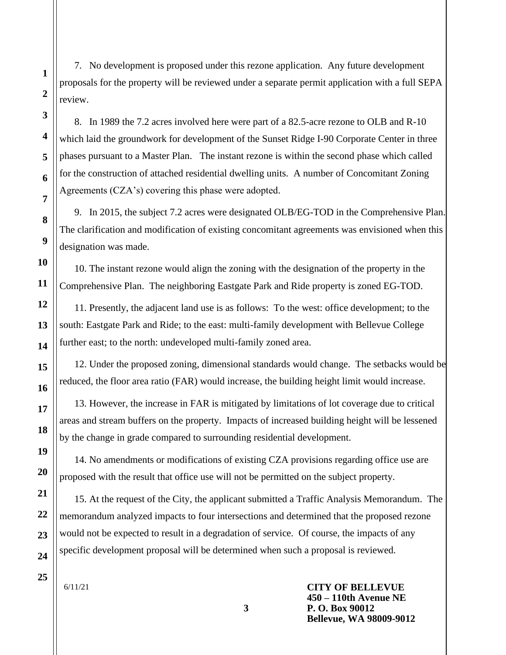7. No development is proposed under this rezone application. Any future development proposals for the property will be reviewed under a separate permit application with a full SEPA review.

8. In 1989 the 7.2 acres involved here were part of a 82.5-acre rezone to OLB and R-10 which laid the groundwork for development of the Sunset Ridge I-90 Corporate Center in three phases pursuant to a Master Plan. The instant rezone is within the second phase which called for the construction of attached residential dwelling units. A number of Concomitant Zoning Agreements (CZA's) covering this phase were adopted.

9. In 2015, the subject 7.2 acres were designated OLB/EG-TOD in the Comprehensive Plan. The clarification and modification of existing concomitant agreements was envisioned when this designation was made.

10. The instant rezone would align the zoning with the designation of the property in the Comprehensive Plan. The neighboring Eastgate Park and Ride property is zoned EG-TOD.

11. Presently, the adjacent land use is as follows: To the west: office development; to the south: Eastgate Park and Ride; to the east: multi-family development with Bellevue College further east; to the north: undeveloped multi-family zoned area.

12. Under the proposed zoning, dimensional standards would change. The setbacks would be reduced, the floor area ratio (FAR) would increase, the building height limit would increase.

13. However, the increase in FAR is mitigated by limitations of lot coverage due to critical areas and stream buffers on the property. Impacts of increased building height will be lessened by the change in grade compared to surrounding residential development.

14. No amendments or modifications of existing CZA provisions regarding office use are proposed with the result that office use will not be permitted on the subject property.

15. At the request of the City, the applicant submitted a Traffic Analysis Memorandum. The memorandum analyzed impacts to four intersections and determined that the proposed rezone would not be expected to result in a degradation of service. Of course, the impacts of any specific development proposal will be determined when such a proposal is reviewed.

**3**

6/11/21

**CITY OF BELLEVUE 450 – 110th Avenue NE P. O. Box 90012 Bellevue, WA 98009-9012**

**1**

**2**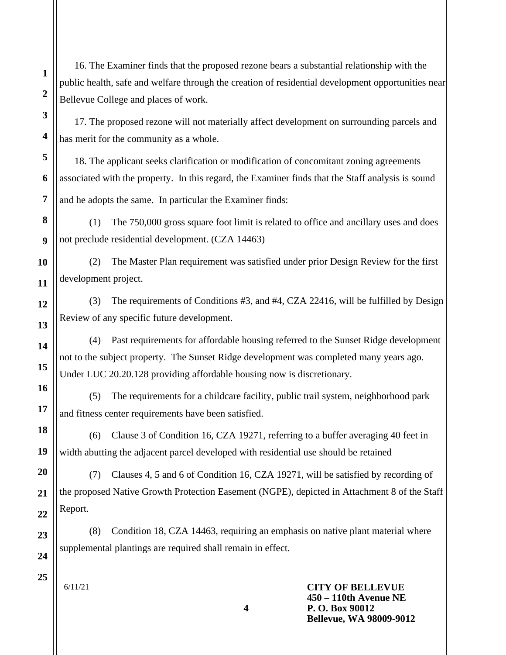16. The Examiner finds that the proposed rezone bears a substantial relationship with the public health, safe and welfare through the creation of residential development opportunities near Bellevue College and places of work.

17. The proposed rezone will not materially affect development on surrounding parcels and has merit for the community as a whole.

18. The applicant seeks clarification or modification of concomitant zoning agreements associated with the property. In this regard, the Examiner finds that the Staff analysis is sound and he adopts the same. In particular the Examiner finds:

(1) The 750,000 gross square foot limit is related to office and ancillary uses and does not preclude residential development. (CZA 14463)

(2) The Master Plan requirement was satisfied under prior Design Review for the first development project.

(3) The requirements of Conditions #3, and #4, CZA 22416, will be fulfilled by Design Review of any specific future development.

(4) Past requirements for affordable housing referred to the Sunset Ridge development not to the subject property. The Sunset Ridge development was completed many years ago. Under LUC 20.20.128 providing affordable housing now is discretionary.

(5) The requirements for a childcare facility, public trail system, neighborhood park and fitness center requirements have been satisfied.

(6) Clause 3 of Condition 16, CZA 19271, referring to a buffer averaging 40 feet in width abutting the adjacent parcel developed with residential use should be retained

(7) Clauses 4, 5 and 6 of Condition 16, CZA 19271, will be satisfied by recording of the proposed Native Growth Protection Easement (NGPE), depicted in Attachment 8 of the Staff Report.

(8) Condition 18, CZA 14463, requiring an emphasis on native plant material where supplemental plantings are required shall remain in effect.

**4**

6/11/21

**CITY OF BELLEVUE 450 – 110th Avenue NE P. O. Box 90012 Bellevue, WA 98009-9012**

**25**

**1**

**2**

**3**

**4**

**5**

**6**

**7**

**8**

**9**

**10**

**11**

**12**

**13**

**14**

**15**

**16**

**17**

**18**

**19**

**20**

**21**

**22**

**23**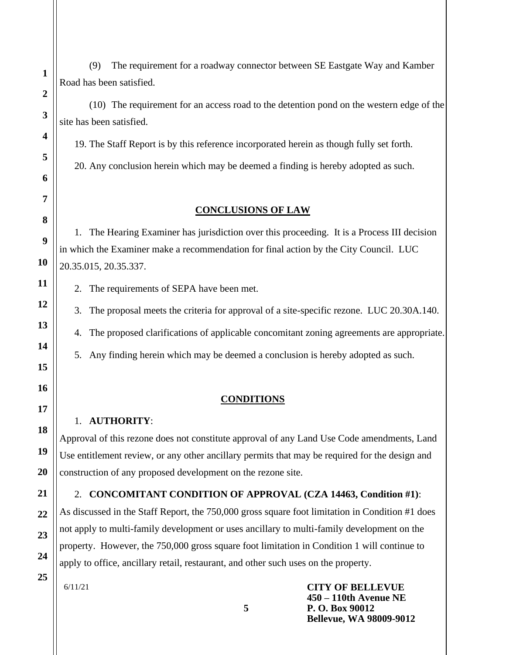(9) The requirement for a roadway connector between SE Eastgate Way and Kamber Road has been satisfied.

(10) The requirement for an access road to the detention pond on the western edge of the site has been satisfied.

19. The Staff Report is by this reference incorporated herein as though fully set forth.

20. Any conclusion herein which may be deemed a finding is hereby adopted as such.

## **CONCLUSIONS OF LAW**

1. The Hearing Examiner has jurisdiction over this proceeding. It is a Process III decision in which the Examiner make a recommendation for final action by the City Council. LUC 20.35.015, 20.35.337.

2. The requirements of SEPA have been met.

3. The proposal meets the criteria for approval of a site-specific rezone. LUC 20.30A.140.

4. The proposed clarifications of applicable concomitant zoning agreements are appropriate.

5. Any finding herein which may be deemed a conclusion is hereby adopted as such.

## **CONDITIONS**

## 1. **AUTHORITY**:

Approval of this rezone does not constitute approval of any Land Use Code amendments, Land Use entitlement review, or any other ancillary permits that may be required for the design and construction of any proposed development on the rezone site.

## 2. **CONCOMITANT CONDITION OF APPROVAL (CZA 14463, Condition #1)**:

As discussed in the Staff Report, the 750,000 gross square foot limitation in Condition #1 does not apply to multi-family development or uses ancillary to multi-family development on the property. However, the 750,000 gross square foot limitation in Condition 1 will continue to apply to office, ancillary retail, restaurant, and other such uses on the property.

**5**

6/11/21

**CITY OF BELLEVUE 450 – 110th Avenue NE P. O. Box 90012 Bellevue, WA 98009-9012**

**25**

**1**

**2**

**3**

**4**

**5**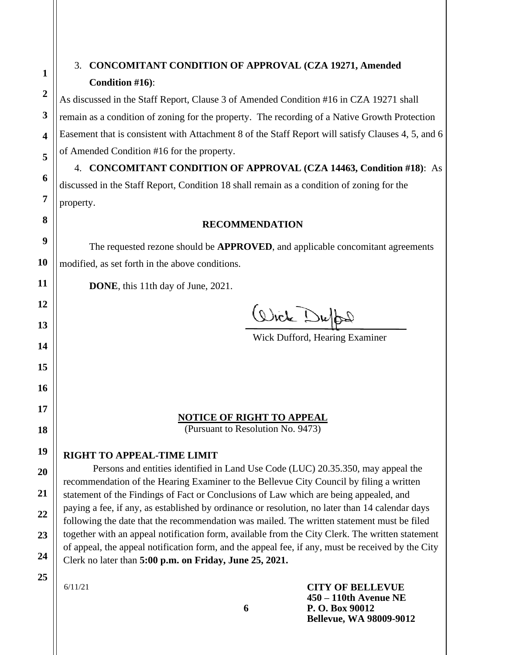# 3. **CONCOMITANT CONDITION OF APPROVAL (CZA 19271, Amended Condition #16)**:

As discussed in the Staff Report, Clause 3 of Amended Condition #16 in CZA 19271 shall remain as a condition of zoning for the property. The recording of a Native Growth Protection Easement that is consistent with Attachment 8 of the Staff Report will satisfy Clauses 4, 5, and 6 of Amended Condition #16 for the property.

4. **CONCOMITANT CONDITION OF APPROVAL (CZA 14463, Condition #18)**: As discussed in the Staff Report, Condition 18 shall remain as a condition of zoning for the property.

#### **RECOMMENDATION**

The requested rezone should be **APPROVED**, and applicable concomitant agreements modified, as set forth in the above conditions.

**DONE**, this 11th day of June, 2021.

Wick Duff

Wick Dufford, Hearing Examiner

## **NOTICE OF RIGHT TO APPEAL**

(Pursuant to Resolution No. 9473)

**RIGHT TO APPEAL-TIME LIMIT**

Persons and entities identified in Land Use Code (LUC) 20.35.350, may appeal the recommendation of the Hearing Examiner to the Bellevue City Council by filing a written statement of the Findings of Fact or Conclusions of Law which are being appealed, and paying a fee, if any, as established by ordinance or resolution, no later than 14 calendar days following the date that the recommendation was mailed. The written statement must be filed together with an appeal notification form, available from the City Clerk. The written statement of appeal, the appeal notification form, and the appeal fee, if any, must be received by the City Clerk no later than **5:00 p.m. on Friday, June 25, 2021.**

**25**

**1**

**2**

**3**

**4**

**5**

**6**

**7**

**8**

**9**

**10**

**11**

**12**

**13**

**14**

**15**

**16**

**17**

**18**

**19**

**20**

**21**

**22**

**23**

**24**

6/11/21